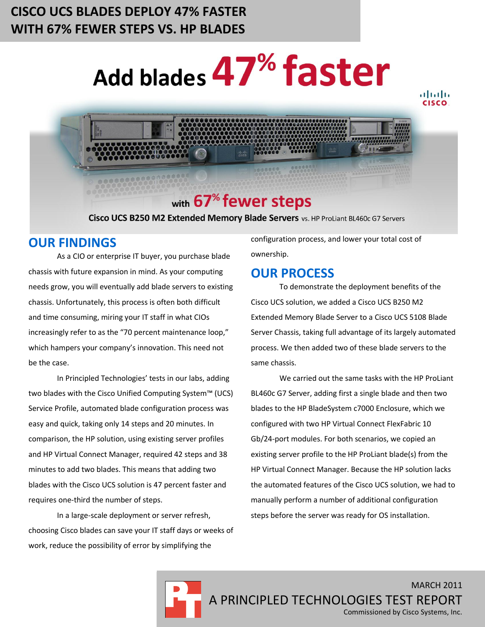# **CISCO UCS BLADES DEPLOY 47% FASTER WITH 67% FEWER STEPS VS. HP BLADES**

# Add blades 47% faster



# with 67<sup>%</sup> fewer steps

Cisco UCS B250 M2 Extended Memory Blade Servers vs. HP ProLiant BL460c G7 Servers

## **OUR FINDINGS**

As a CIO or enterprise IT buyer, you purchase blade chassis with future expansion in mind. As your computing needs grow, you will eventually add blade servers to existing chassis. Unfortunately, this process is often both difficult and time consuming, miring your IT staff in what CIOs increasingly refer to as the "70 percent maintenance loop," which hampers your company's innovation. This need not be the case.

In Principled Technologies' tests in our labs, adding two blades with the Cisco Unified Computing System™ (UCS) Service Profile, automated blade configuration process was easy and quick, taking only 14 steps and 20 minutes. In comparison, the HP solution, using existing server profiles and HP Virtual Connect Manager, required 42 steps and 38 minutes to add two blades. This means that adding two blades with the Cisco UCS solution is 47 percent faster and requires one-third the number of steps.

In a large-scale deployment or server refresh, choosing Cisco blades can save your IT staff days or weeks of work, reduce the possibility of error by simplifying the

configuration process, and lower your total cost of ownership.

## **OUR PROCESS**

To demonstrate the deployment benefits of the Cisco UCS solution, we added a Cisco UCS B250 M2 Extended Memory Blade Server to a Cisco UCS 5108 Blade Server Chassis, taking full advantage of its largely automated process. We then added two of these blade servers to the same chassis.

We carried out the same tasks with the HP ProLiant BL460c G7 Server, adding first a single blade and then two blades to the HP BladeSystem c7000 Enclosure, which we configured with two HP Virtual Connect FlexFabric 10 Gb/24-port modules. For both scenarios, we copied an existing server profile to the HP ProLiant blade(s) from the HP Virtual Connect Manager. Because the HP solution lacks the automated features of the Cisco UCS solution, we had to manually perform a number of additional configuration steps before the server was ready for OS installation.

MARCH 2011 A PRINCIPLED TECHNOLOGIES TEST REPORT Commissioned by Cisco Systems, Inc.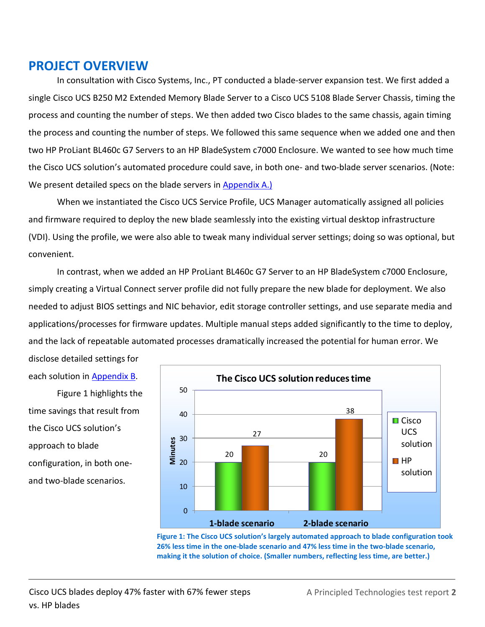## **PROJECT OVERVIEW**

In consultation with Cisco Systems, Inc., PT conducted a blade-server expansion test. We first added a single Cisco UCS B250 M2 Extended Memory Blade Server to a Cisco UCS 5108 Blade Server Chassis, timing the process and counting the number of steps. We then added two Cisco blades to the same chassis, again timing the process and counting the number of steps. We followed this same sequence when we added one and then two HP ProLiant BL460c G7 Servers to an HP BladeSystem c7000 Enclosure. We wanted to see how much time the Cisco UCS solution's automated procedure could save, in both one- and two-blade server scenarios. (Note: We present detailed specs on the blade servers in [Appendix A.](#page-7-0))

When we instantiated the Cisco UCS Service Profile, UCS Manager automatically assigned all policies and firmware required to deploy the new blade seamlessly into the existing virtual desktop infrastructure (VDI). Using the profile, we were also able to tweak many individual server settings; doing so was optional, but convenient.

In contrast, when we added an HP ProLiant BL460c G7 Server to an HP BladeSystem c7000 Enclosure, simply creating a Virtual Connect server profile did not fully prepare the new blade for deployment. We also needed to adjust BIOS settings and NIC behavior, edit storage controller settings, and use separate media and applications/processes for firmware updates. Multiple manual steps added significantly to the time to deploy, and the lack of repeatable automated processes dramatically increased the potential for human error. We disclose detailed settings for

each solution in [Appendix B.](#page-9-0)

Figure 1 highlights the time savings that result from the Cisco UCS solution's approach to blade configuration, in both oneand two-blade scenarios.



**Figure 1: The Cisco UCS solution's largely automated approach to blade configuration took 26% less time in the one-blade scenario and 47% less time in the two-blade scenario, making it the solution of choice. (Smaller numbers, reflecting less time, are better.)**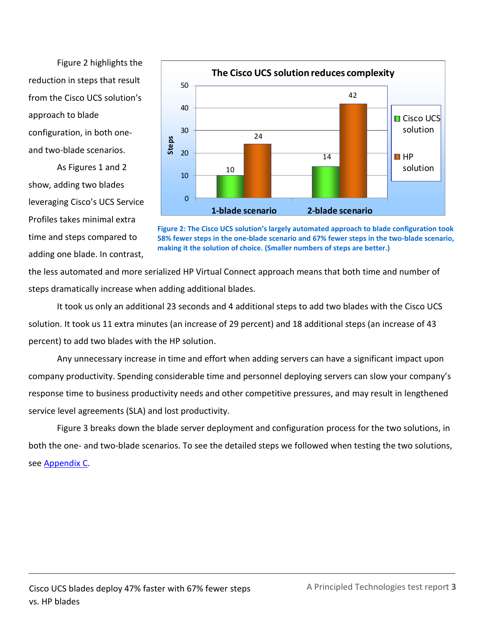Figure 2 highlights the reduction in steps that result from the Cisco UCS solution's approach to blade configuration, in both oneand two-blade scenarios.

As Figures 1 and 2 show, adding two blades leveraging Cisco's UCS Service Profiles takes minimal extra time and steps compared to adding one blade. In contrast,



**Figure 2: The Cisco UCS solution's largely automated approach to blade configuration took 58% fewer steps in the one-blade scenario and 67% fewer steps in the two-blade scenario, making it the solution of choice. (Smaller numbers of steps are better.)**

the less automated and more serialized HP Virtual Connect approach means that both time and number of steps dramatically increase when adding additional blades.

It took us only an additional 23 seconds and 4 additional steps to add two blades with the Cisco UCS solution. It took us 11 extra minutes (an increase of 29 percent) and 18 additional steps (an increase of 43 percent) to add two blades with the HP solution.

Any unnecessary increase in time and effort when adding servers can have a significant impact upon company productivity. Spending considerable time and personnel deploying servers can slow your company's response time to business productivity needs and other competitive pressures, and may result in lengthened service level agreements (SLA) and lost productivity.

Figure 3 breaks down the blade server deployment and configuration process for the two solutions, in both the one- and two-blade scenarios. To see the detailed steps we followed when testing the two solutions, see [Appendix C.](#page-12-0)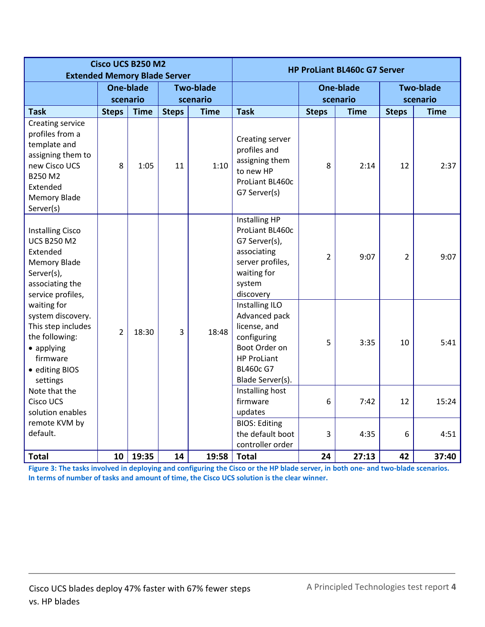| Cisco UCS B250 M2<br><b>Extended Memory Blade Server</b>                                                                                             |                |             |              |                  |                                                                                                                                               | <b>HP ProLiant BL460c G7 Server</b> |                  |                |                  |
|------------------------------------------------------------------------------------------------------------------------------------------------------|----------------|-------------|--------------|------------------|-----------------------------------------------------------------------------------------------------------------------------------------------|-------------------------------------|------------------|----------------|------------------|
|                                                                                                                                                      |                | One-blade   |              | <b>Two-blade</b> |                                                                                                                                               |                                     | <b>One-blade</b> |                | <b>Two-blade</b> |
|                                                                                                                                                      |                | scenario    |              | scenario         |                                                                                                                                               |                                     | scenario         |                | scenario         |
| <b>Task</b>                                                                                                                                          | <b>Steps</b>   | <b>Time</b> | <b>Steps</b> | <b>Time</b>      | <b>Task</b>                                                                                                                                   | <b>Steps</b>                        | <b>Time</b>      | <b>Steps</b>   | <b>Time</b>      |
| Creating service<br>profiles from a<br>template and<br>assigning them to<br>new Cisco UCS<br>B250 M2<br>Extended<br><b>Memory Blade</b><br>Server(s) | 8              | 1:05        | 11           | 1:10             | Creating server<br>profiles and<br>assigning them<br>to new HP<br>ProLiant BL460c<br>G7 Server(s)                                             | 8                                   | 2:14             | 12             | 2:37             |
| <b>Installing Cisco</b><br><b>UCS B250 M2</b><br>Extended<br><b>Memory Blade</b><br>Server(s),<br>associating the<br>service profiles,               |                |             |              |                  | Installing HP<br>ProLiant BL460c<br>G7 Server(s),<br>associating<br>server profiles,<br>waiting for<br>system<br>discovery                    | 2                                   | 9:07             | $\overline{2}$ | 9:07             |
| waiting for<br>system discovery.<br>This step includes<br>the following:<br>• applying<br>firmware<br>• editing BIOS<br>settings                     | $\overline{2}$ | 18:30       | 3            | 18:48            | Installing ILO<br>Advanced pack<br>license, and<br>configuring<br>Boot Order on<br><b>HP ProLiant</b><br><b>BL460c G7</b><br>Blade Server(s). | 5                                   | 3:35             | 10             | 5:41             |
| Note that the<br><b>Cisco UCS</b><br>solution enables                                                                                                |                |             |              |                  | Installing host<br>firmware<br>updates                                                                                                        | 6                                   | 7:42             | 12             | 15:24            |
| remote KVM by<br>default.                                                                                                                            |                |             |              |                  | <b>BIOS: Editing</b><br>the default boot<br>controller order                                                                                  | 3                                   | 4:35             | 6              | 4:51             |
| <b>Total</b>                                                                                                                                         | 10             | 19:35       | 14           | 19:58            | <b>Total</b>                                                                                                                                  | 24                                  | 27:13            | 42             | 37:40            |

**Figure 3: The tasks involved in deploying and configuring the Cisco or the HP blade server, in both one- and two-blade scenarios. In terms of number of tasks and amount of time, the Cisco UCS solution is the clear winner.**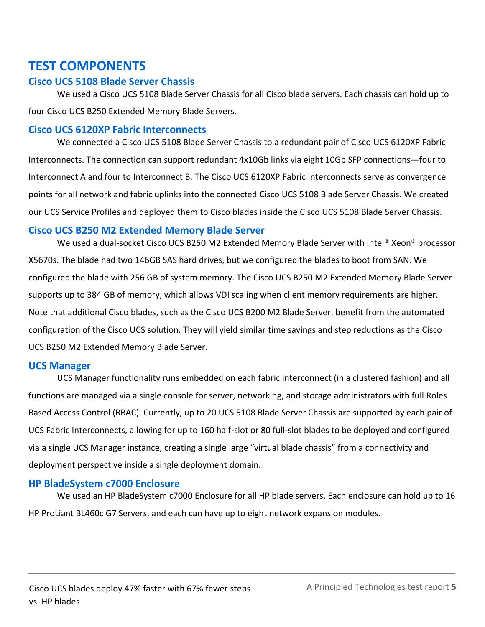## **TEST COMPONENTS**

#### **Cisco UCS 5108 Blade Server Chassis**

We used a Cisco UCS 5108 Blade Server Chassis for all Cisco blade servers. Each chassis can hold up to four Cisco UCS B250 Extended Memory Blade Servers.

#### **Cisco UCS 6120XP Fabric Interconnects**

We connected a Cisco UCS 5108 Blade Server Chassis to a redundant pair of Cisco UCS 6120XP Fabric Interconnects. The connection can support redundant 4x10Gb links via eight 10Gb SFP connections—four to Interconnect A and four to Interconnect B. The Cisco UCS 6120XP Fabric Interconnects serve as convergence points for all network and fabric uplinks into the connected Cisco UCS 5108 Blade Server Chassis. We created our UCS Service Profiles and deployed them to Cisco blades inside the Cisco UCS 5108 Blade Server Chassis.

#### **Cisco UCS B250 M2 Extended Memory Blade Server**

We used a dual-socket Cisco UCS B250 M2 Extended Memory Blade Server with Intel® Xeon® processor X5670s. The blade had two 146GB SAS hard drives, but we configured the blades to boot from SAN. We configured the blade with 256 GB of system memory. The Cisco UCS B250 M2 Extended Memory Blade Server supports up to 384 GB of memory, which allows VDI scaling when client memory requirements are higher. Note that additional Cisco blades, such as the Cisco UCS B200 M2 Blade Server, benefit from the automated configuration of the Cisco UCS solution. They will yield similar time savings and step reductions as the Cisco UCS B250 M2 Extended Memory Blade Server.

#### **UCS Manager**

UCS Manager functionality runs embedded on each fabric interconnect (in a clustered fashion) and all functions are managed via a single console for server, networking, and storage administrators with full Roles Based Access Control (RBAC). Currently, up to 20 UCS 5108 Blade Server Chassis are supported by each pair of UCS Fabric Interconnects, allowing for up to 160 half-slot or 80 full-slot blades to be deployed and configured via a single UCS Manager instance, creating a single large "virtual blade chassis" from a connectivity and deployment perspective inside a single deployment domain.

#### **HP BladeSystem c7000 Enclosure**

We used an HP BladeSystem c7000 Enclosure for all HP blade servers. Each enclosure can hold up to 16 HP ProLiant BL460c G7 Servers, and each can have up to eight network expansion modules.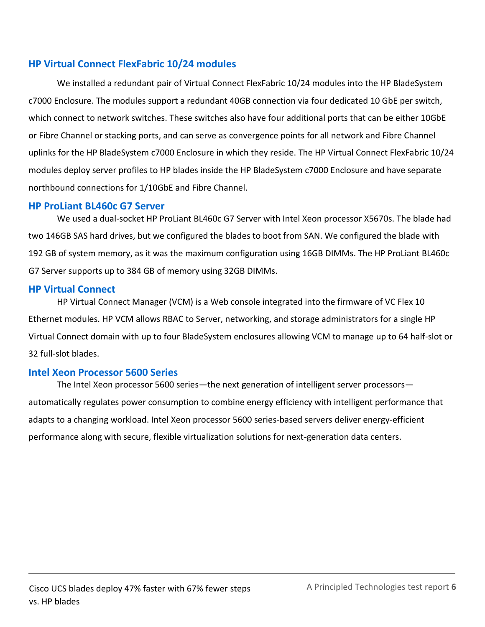#### **HP Virtual Connect FlexFabric 10/24 modules**

We installed a redundant pair of Virtual Connect FlexFabric 10/24 modules into the HP BladeSystem c7000 Enclosure. The modules support a redundant 40GB connection via four dedicated 10 GbE per switch, which connect to network switches. These switches also have four additional ports that can be either 10GbE or Fibre Channel or stacking ports, and can serve as convergence points for all network and Fibre Channel uplinks for the HP BladeSystem c7000 Enclosure in which they reside. The HP Virtual Connect FlexFabric 10/24 modules deploy server profiles to HP blades inside the HP BladeSystem c7000 Enclosure and have separate northbound connections for 1/10GbE and Fibre Channel.

#### **HP ProLiant BL460c G7 Server**

We used a dual-socket HP ProLiant BL460c G7 Server with Intel Xeon processor X5670s. The blade had two 146GB SAS hard drives, but we configured the blades to boot from SAN. We configured the blade with 192 GB of system memory, as it was the maximum configuration using 16GB DIMMs. The HP ProLiant BL460c G7 Server supports up to 384 GB of memory using 32GB DIMMs.

#### **HP Virtual Connect**

HP Virtual Connect Manager (VCM) is a Web console integrated into the firmware of VC Flex 10 Ethernet modules. HP VCM allows RBAC to Server, networking, and storage administrators for a single HP Virtual Connect domain with up to four BladeSystem enclosures allowing VCM to manage up to 64 half-slot or 32 full-slot blades.

#### **Intel Xeon Processor 5600 Series**

The Intel Xeon processor 5600 series—the next generation of intelligent server processors automatically regulates power consumption to combine energy efficiency with intelligent performance that adapts to a changing workload. Intel Xeon processor 5600 series-based servers deliver energy-efficient performance along with secure, flexible virtualization solutions for next-generation data centers.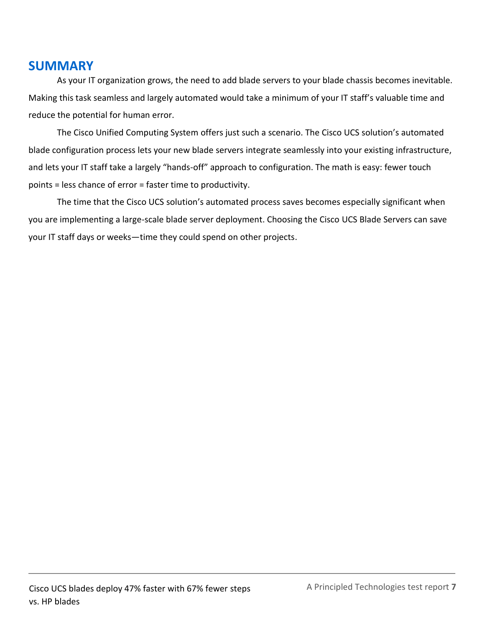## **SUMMARY**

As your IT organization grows, the need to add blade servers to your blade chassis becomes inevitable. Making this task seamless and largely automated would take a minimum of your IT staff's valuable time and reduce the potential for human error.

The Cisco Unified Computing System offers just such a scenario. The Cisco UCS solution's automated blade configuration process lets your new blade servers integrate seamlessly into your existing infrastructure, and lets your IT staff take a largely "hands-off" approach to configuration. The math is easy: fewer touch points = less chance of error = faster time to productivity.

The time that the Cisco UCS solution's automated process saves becomes especially significant when you are implementing a large-scale blade server deployment. Choosing the Cisco UCS Blade Servers can save your IT staff days or weeks—time they could spend on other projects.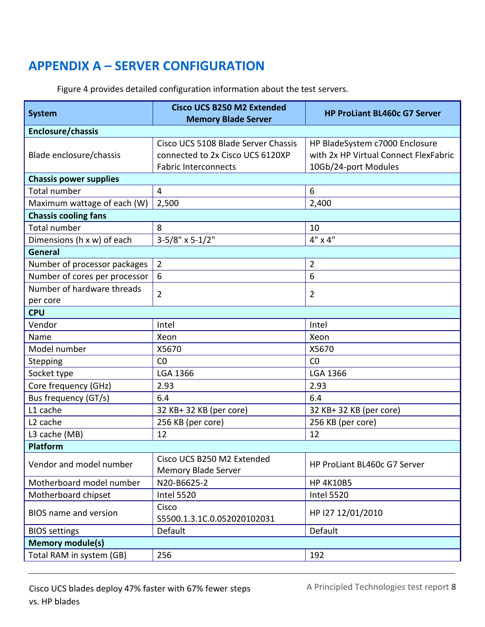# <span id="page-7-0"></span>**APPENDIX A – SERVER CONFIGURATION**

| <b>System</b>                 | <b>Cisco UCS B250 M2 Extended</b><br><b>Memory Blade Server</b>                                        | <b>HP ProLiant BL460c G7 Server</b>                                                             |  |
|-------------------------------|--------------------------------------------------------------------------------------------------------|-------------------------------------------------------------------------------------------------|--|
| Enclosure/chassis             |                                                                                                        |                                                                                                 |  |
| Blade enclosure/chassis       | Cisco UCS 5108 Blade Server Chassis<br>connected to 2x Cisco UCS 6120XP<br><b>Fabric Interconnects</b> | HP BladeSystem c7000 Enclosure<br>with 2x HP Virtual Connect FlexFabric<br>10Gb/24-port Modules |  |
| <b>Chassis power supplies</b> |                                                                                                        |                                                                                                 |  |
| <b>Total number</b>           | $\overline{4}$                                                                                         | 6                                                                                               |  |
| Maximum wattage of each (W)   | 2,500                                                                                                  | 2,400                                                                                           |  |
| <b>Chassis cooling fans</b>   |                                                                                                        |                                                                                                 |  |
| <b>Total number</b>           | 8                                                                                                      | 10                                                                                              |  |
| Dimensions (h x w) of each    | $3-5/8" \times 5-1/2"$                                                                                 | 4" x 4"                                                                                         |  |
| <b>General</b>                |                                                                                                        |                                                                                                 |  |
| Number of processor packages  | $\overline{2}$                                                                                         | $\overline{2}$                                                                                  |  |
| Number of cores per processor | 6                                                                                                      | 6                                                                                               |  |
| Number of hardware threads    | $\overline{2}$                                                                                         | $\overline{2}$                                                                                  |  |
| per core                      |                                                                                                        |                                                                                                 |  |
| <b>CPU</b>                    |                                                                                                        |                                                                                                 |  |
| Vendor                        | Intel                                                                                                  | Intel                                                                                           |  |
| Name                          | Xeon                                                                                                   | Xeon                                                                                            |  |
| Model number                  | X5670                                                                                                  | X5670                                                                                           |  |
| Stepping                      | CO                                                                                                     | CO                                                                                              |  |
| Socket type                   | <b>LGA 1366</b>                                                                                        | <b>LGA 1366</b>                                                                                 |  |
| Core frequency (GHz)          | 2.93                                                                                                   | 2.93                                                                                            |  |
| Bus frequency (GT/s)          | 6.4                                                                                                    | 6.4                                                                                             |  |
| L1 cache                      | 32 KB+ 32 KB (per core)                                                                                | 32 KB+ 32 KB (per core)                                                                         |  |
| L <sub>2</sub> cache          | 256 KB (per core)                                                                                      | 256 KB (per core)                                                                               |  |
| L3 cache (MB)                 | 12                                                                                                     | 12                                                                                              |  |
| <b>Platform</b>               |                                                                                                        |                                                                                                 |  |
| Vendor and model number       | Cisco UCS B250 M2 Extended<br><b>Memory Blade Server</b>                                               | HP ProLiant BL460c G7 Server                                                                    |  |
| Motherboard model number      | N20-B6625-2                                                                                            | <b>HP 4K10B5</b>                                                                                |  |
| Motherboard chipset           | <b>Intel 5520</b>                                                                                      | <b>Intel 5520</b>                                                                               |  |
| <b>BIOS</b> name and version  | Cisco<br>S5500.1.3.1C.0.052020102031                                                                   | HP I27 12/01/2010                                                                               |  |
| <b>BIOS</b> settings          | Default                                                                                                | Default                                                                                         |  |
| <b>Memory module(s)</b>       |                                                                                                        |                                                                                                 |  |
| Total RAM in system (GB)      | 256                                                                                                    | 192                                                                                             |  |

Figure 4 provides detailed configuration information about the test servers.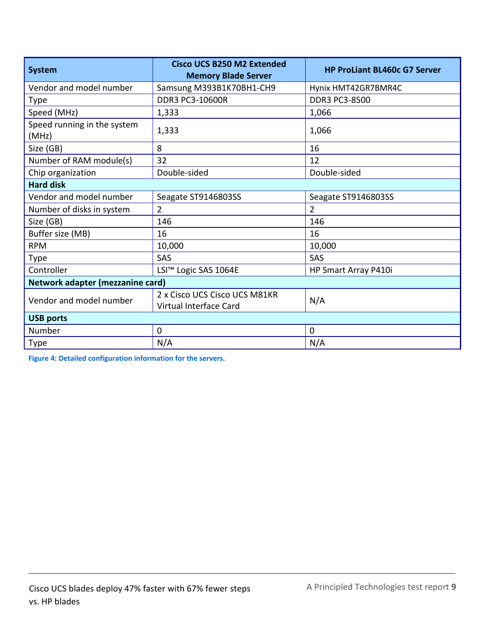| <b>System</b>                        | <b>Cisco UCS B250 M2 Extended</b><br><b>Memory Blade Server</b> | <b>HP ProLiant BL460c G7 Server</b> |  |
|--------------------------------------|-----------------------------------------------------------------|-------------------------------------|--|
| Vendor and model number              | Samsung M393B1K70BH1-CH9                                        | Hynix HMT42GR7BMR4C                 |  |
| Type                                 | <b>DDR3 PC3-10600R</b>                                          | DDR3 PC3-8500                       |  |
| Speed (MHz)                          | 1,333                                                           | 1,066                               |  |
| Speed running in the system<br>(MHz) | 1,333                                                           | 1,066                               |  |
| Size (GB)                            | 8                                                               | 16                                  |  |
| Number of RAM module(s)              | 32                                                              | 12                                  |  |
| Chip organization                    | Double-sided                                                    | Double-sided                        |  |
| <b>Hard disk</b>                     |                                                                 |                                     |  |
| Vendor and model number              | Seagate ST9146803SS                                             | Seagate ST9146803SS                 |  |
| Number of disks in system            | $\overline{2}$                                                  | $\overline{2}$                      |  |
| Size (GB)                            | 146                                                             | 146                                 |  |
| Buffer size (MB)                     | 16                                                              | 16                                  |  |
| <b>RPM</b>                           | 10,000                                                          | 10,000                              |  |
| Type                                 | SAS                                                             | SAS                                 |  |
| Controller                           | LSI™ Logic SAS 1064E                                            | HP Smart Array P410i                |  |
| Network adapter (mezzanine card)     |                                                                 |                                     |  |
| Vendor and model number              | 2 x Cisco UCS Cisco UCS M81KR<br>N/A<br>Virtual Interface Card  |                                     |  |
| <b>USB ports</b>                     |                                                                 |                                     |  |
| Number                               | $\mathbf 0$                                                     | $\overline{0}$                      |  |
| <b>Type</b>                          | N/A                                                             | N/A                                 |  |

**Figure 4: Detailed configuration information for the servers.**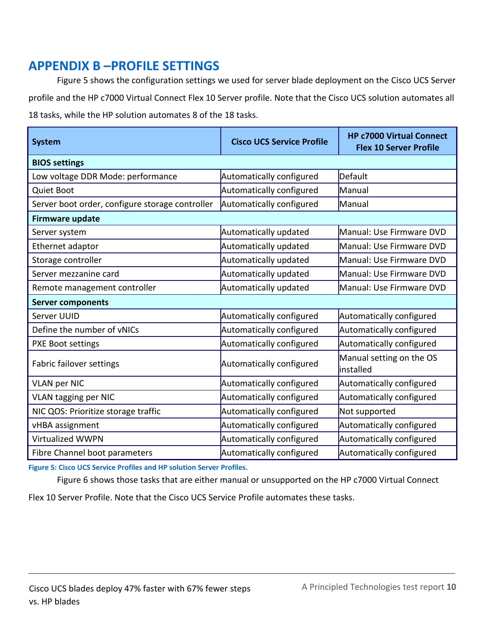# <span id="page-9-0"></span>**APPENDIX B –PROFILE SETTINGS**

Figure 5 shows the configuration settings we used for server blade deployment on the Cisco UCS Server profile and the HP c7000 Virtual Connect Flex 10 Server profile. Note that the Cisco UCS solution automates all 18 tasks, while the HP solution automates 8 of the 18 tasks.

| <b>System</b>                                   | <b>Cisco UCS Service Profile</b> | <b>HP c7000 Virtual Connect</b><br><b>Flex 10 Server Profile</b> |  |
|-------------------------------------------------|----------------------------------|------------------------------------------------------------------|--|
| <b>BIOS settings</b>                            |                                  |                                                                  |  |
| Low voltage DDR Mode: performance               | Automatically configured         | Default                                                          |  |
| <b>Quiet Boot</b>                               | Automatically configured         | Manual                                                           |  |
| Server boot order, configure storage controller | Automatically configured         | Manual                                                           |  |
| <b>Firmware update</b>                          |                                  |                                                                  |  |
| Server system                                   | Automatically updated            | Manual: Use Firmware DVD                                         |  |
| Ethernet adaptor                                | Automatically updated            | Manual: Use Firmware DVD                                         |  |
| Storage controller                              | Automatically updated            | Manual: Use Firmware DVD                                         |  |
| Server mezzanine card                           | Automatically updated            | Manual: Use Firmware DVD                                         |  |
| Remote management controller                    | Automatically updated            | Manual: Use Firmware DVD                                         |  |
| <b>Server components</b>                        |                                  |                                                                  |  |
| Server UUID                                     | Automatically configured         | Automatically configured                                         |  |
| Define the number of vNICs                      | Automatically configured         | Automatically configured                                         |  |
| <b>PXE Boot settings</b>                        | Automatically configured         | Automatically configured                                         |  |
| Fabric failover settings                        | Automatically configured         | Manual setting on the OS<br><b>linstalled</b>                    |  |
| <b>VLAN per NIC</b>                             | Automatically configured         | Automatically configured                                         |  |
| <b>VLAN tagging per NIC</b>                     | Automatically configured         | Automatically configured                                         |  |
| NIC QOS: Prioritize storage traffic             | Automatically configured         | Not supported                                                    |  |
| vHBA assignment                                 | Automatically configured         | Automatically configured                                         |  |
| Virtualized WWPN                                | Automatically configured         | Automatically configured                                         |  |
| Fibre Channel boot parameters                   | Automatically configured         | Automatically configured                                         |  |

**Figure 5: Cisco UCS Service Profiles and HP solution Server Profiles.** 

Figure 6 shows those tasks that are either manual or unsupported on the HP c7000 Virtual Connect

Flex 10 Server Profile. Note that the Cisco UCS Service Profile automates these tasks.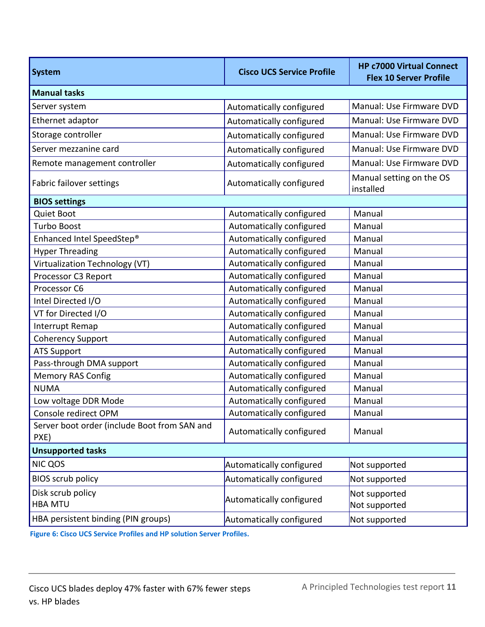| <b>System</b>                                        | <b>Cisco UCS Service Profile</b> | <b>HP c7000 Virtual Connect</b><br><b>Flex 10 Server Profile</b> |  |
|------------------------------------------------------|----------------------------------|------------------------------------------------------------------|--|
| <b>Manual tasks</b>                                  |                                  |                                                                  |  |
| Server system                                        | Automatically configured         | Manual: Use Firmware DVD                                         |  |
| Ethernet adaptor                                     | Automatically configured         | Manual: Use Firmware DVD                                         |  |
| Storage controller                                   | Automatically configured         | Manual: Use Firmware DVD                                         |  |
| Server mezzanine card                                | Automatically configured         | Manual: Use Firmware DVD                                         |  |
| Remote management controller                         | Automatically configured         | Manual: Use Firmware DVD                                         |  |
| Fabric failover settings                             | Automatically configured         | Manual setting on the OS<br>installed                            |  |
| <b>BIOS settings</b>                                 |                                  |                                                                  |  |
| <b>Quiet Boot</b>                                    | Automatically configured         | Manual                                                           |  |
| <b>Turbo Boost</b>                                   | Automatically configured         | Manual                                                           |  |
| Enhanced Intel SpeedStep®                            | Automatically configured         | Manual                                                           |  |
| <b>Hyper Threading</b>                               | Automatically configured         | Manual                                                           |  |
| Virtualization Technology (VT)                       | Automatically configured         | Manual                                                           |  |
| Processor C3 Report                                  | Automatically configured         | Manual                                                           |  |
| Processor C6                                         | Automatically configured         | Manual                                                           |  |
| Intel Directed I/O                                   | Automatically configured         | Manual                                                           |  |
| VT for Directed I/O                                  | Automatically configured         | Manual                                                           |  |
| Interrupt Remap                                      | Automatically configured         | Manual                                                           |  |
| <b>Coherency Support</b>                             | Automatically configured         | Manual                                                           |  |
| <b>ATS Support</b>                                   | Automatically configured         | Manual                                                           |  |
| Pass-through DMA support                             | Automatically configured         | Manual                                                           |  |
| <b>Memory RAS Config</b>                             | Automatically configured         | Manual                                                           |  |
| <b>NUMA</b>                                          | Automatically configured         | Manual                                                           |  |
| Low voltage DDR Mode                                 | Automatically configured         | Manual                                                           |  |
| Console redirect OPM                                 | Automatically configured         | Manual                                                           |  |
| Server boot order (include Boot from SAN and<br>PXE) | Automatically configured         | Manual                                                           |  |
| <b>Unsupported tasks</b>                             |                                  |                                                                  |  |
| <b>NIC QOS</b>                                       | Automatically configured         | Not supported                                                    |  |
| <b>BIOS scrub policy</b>                             | Automatically configured         | Not supported                                                    |  |
| Disk scrub policy<br><b>HBA MTU</b>                  | Automatically configured         | Not supported<br>Not supported                                   |  |
| HBA persistent binding (PIN groups)                  | Automatically configured         | Not supported                                                    |  |

**Figure 6: Cisco UCS Service Profiles and HP solution Server Profiles.**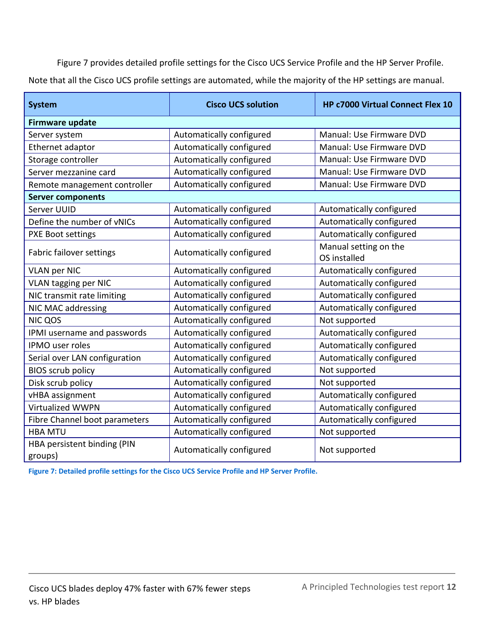Figure 7 provides detailed profile settings for the Cisco UCS Service Profile and the HP Server Profile. Note that all the Cisco UCS profile settings are automated, while the majority of the HP settings are manual.

| <b>System</b>                          | <b>Cisco UCS solution</b>                 | HP c7000 Virtual Connect Flex 10      |  |
|----------------------------------------|-------------------------------------------|---------------------------------------|--|
| <b>Firmware update</b>                 |                                           |                                       |  |
| Server system                          | Automatically configured                  | Manual: Use Firmware DVD              |  |
| Ethernet adaptor                       | Automatically configured                  | Manual: Use Firmware DVD              |  |
| Storage controller                     | Automatically configured                  | Manual: Use Firmware DVD              |  |
| Server mezzanine card                  | Automatically configured                  | Manual: Use Firmware DVD              |  |
| Remote management controller           | Automatically configured                  | Manual: Use Firmware DVD              |  |
| <b>Server components</b>               |                                           |                                       |  |
| Server UUID                            | Automatically configured                  | Automatically configured              |  |
| Define the number of vNICs             | Automatically configured                  | Automatically configured              |  |
| <b>PXE Boot settings</b>               | Automatically configured                  | Automatically configured              |  |
| Fabric failover settings               | Automatically configured                  | Manual setting on the<br>OS installed |  |
| <b>VLAN per NIC</b>                    | Automatically configured                  | Automatically configured              |  |
| <b>VLAN tagging per NIC</b>            | Automatically configured                  | Automatically configured              |  |
| NIC transmit rate limiting             | Automatically configured                  | Automatically configured              |  |
| NIC MAC addressing                     | Automatically configured                  | Automatically configured              |  |
| <b>NIC QOS</b>                         | Automatically configured<br>Not supported |                                       |  |
| IPMI username and passwords            | Automatically configured                  | Automatically configured              |  |
| <b>IPMO</b> user roles                 | Automatically configured                  | Automatically configured              |  |
| Serial over LAN configuration          | Automatically configured                  | Automatically configured              |  |
| <b>BIOS scrub policy</b>               | Automatically configured                  | Not supported                         |  |
| Disk scrub policy                      | Automatically configured                  | Not supported                         |  |
| vHBA assignment                        | Automatically configured                  | Automatically configured              |  |
| Virtualized WWPN                       | Automatically configured                  | Automatically configured              |  |
| Fibre Channel boot parameters          | Automatically configured                  | Automatically configured              |  |
| <b>HBA MTU</b>                         | Automatically configured                  | Not supported                         |  |
| HBA persistent binding (PIN<br>groups) | Automatically configured                  | Not supported                         |  |

**Figure 7: Detailed profile settings for the Cisco UCS Service Profile and HP Server Profile.**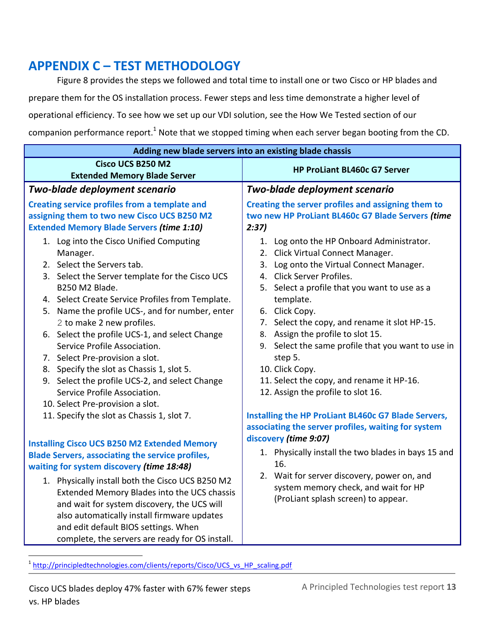# <span id="page-12-0"></span>**APPENDIX C – TEST METHODOLOGY**

Figure 8 provides the steps we followed and total time to install one or two Cisco or HP blades and prepare them for the OS installation process. Fewer steps and less time demonstrate a higher level of operational efficiency. To see how we set up our VDI solution, see the How We Tested section of our companion performance report.<sup>1</sup> Note that we stopped timing when each server began booting from the CD.

|                                                                                                                                                                                                                                                                                                                                                                                                                                                                                                                                                                                                                                  | Adding new blade servers into an existing blade chassis                                                                                                                                                                                                                                                                                                                                                                                                                                                                                                     |  |
|----------------------------------------------------------------------------------------------------------------------------------------------------------------------------------------------------------------------------------------------------------------------------------------------------------------------------------------------------------------------------------------------------------------------------------------------------------------------------------------------------------------------------------------------------------------------------------------------------------------------------------|-------------------------------------------------------------------------------------------------------------------------------------------------------------------------------------------------------------------------------------------------------------------------------------------------------------------------------------------------------------------------------------------------------------------------------------------------------------------------------------------------------------------------------------------------------------|--|
| Cisco UCS B250 M2<br><b>Extended Memory Blade Server</b>                                                                                                                                                                                                                                                                                                                                                                                                                                                                                                                                                                         | <b>HP ProLiant BL460c G7 Server</b>                                                                                                                                                                                                                                                                                                                                                                                                                                                                                                                         |  |
| Two-blade deployment scenario                                                                                                                                                                                                                                                                                                                                                                                                                                                                                                                                                                                                    | Two-blade deployment scenario                                                                                                                                                                                                                                                                                                                                                                                                                                                                                                                               |  |
| Creating service profiles from a template and<br>assigning them to two new Cisco UCS B250 M2<br><b>Extended Memory Blade Servers (time 1:10)</b>                                                                                                                                                                                                                                                                                                                                                                                                                                                                                 | Creating the server profiles and assigning them to<br>two new HP ProLiant BL460c G7 Blade Servers (time<br>2:37)                                                                                                                                                                                                                                                                                                                                                                                                                                            |  |
| 1. Log into the Cisco Unified Computing<br>Manager.<br>2. Select the Servers tab.<br>3. Select the Server template for the Cisco UCS<br>B250 M2 Blade.<br>4. Select Create Service Profiles from Template.<br>5. Name the profile UCS-, and for number, enter<br>2 to make 2 new profiles.<br>6. Select the profile UCS-1, and select Change<br>Service Profile Association.<br>7. Select Pre-provision a slot.<br>8. Specify the slot as Chassis 1, slot 5.<br>9. Select the profile UCS-2, and select Change<br>Service Profile Association.<br>10. Select Pre-provision a slot.<br>11. Specify the slot as Chassis 1, slot 7. | 1. Log onto the HP Onboard Administrator.<br>2. Click Virtual Connect Manager.<br>3. Log onto the Virtual Connect Manager.<br>4. Click Server Profiles.<br>5. Select a profile that you want to use as a<br>template.<br>6. Click Copy.<br>7. Select the copy, and rename it slot HP-15.<br>8. Assign the profile to slot 15.<br>9. Select the same profile that you want to use in<br>step 5.<br>10. Click Copy.<br>11. Select the copy, and rename it HP-16.<br>12. Assign the profile to slot 16.<br>Installing the HP ProLiant BL460c G7 Blade Servers, |  |
| <b>Installing Cisco UCS B250 M2 Extended Memory</b><br><b>Blade Servers, associating the service profiles,</b><br>waiting for system discovery (time 18:48)<br>1. Physically install both the Cisco UCS B250 M2<br>Extended Memory Blades into the UCS chassis<br>and wait for system discovery, the UCS will<br>also automatically install firmware updates<br>and edit default BIOS settings. When<br>complete, the servers are ready for OS install.                                                                                                                                                                          | associating the server profiles, waiting for system<br>discovery (time 9:07)<br>1. Physically install the two blades in bays 15 and<br>16.<br>2. Wait for server discovery, power on, and<br>system memory check, and wait for HP<br>(ProLiant splash screen) to appear.                                                                                                                                                                                                                                                                                    |  |

 $\overline{a}$ <sup>1</sup> [http://principledtechnologies.com/clients/reports/Cisco/UCS\\_vs\\_HP\\_scaling.pdf](http://principledtechnologies.com/clients/reports/Cisco/UCS_vs_HP_scaling.pdf)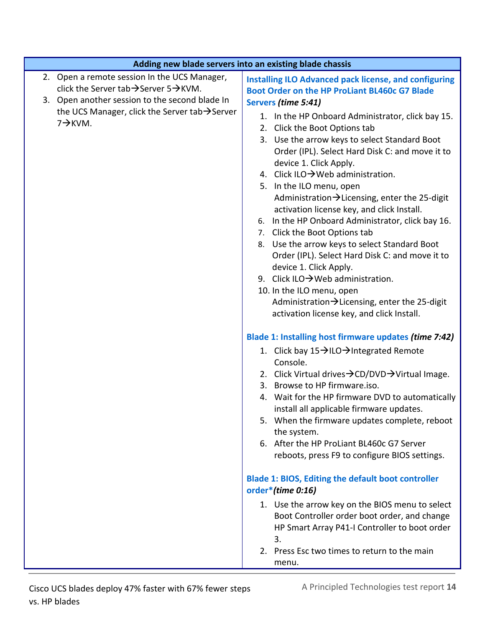| Adding new blade servers into an existing blade chassis                                                                                                          |                                                                                                                                                                                                                                                                                                                                                                                                                                                                                                                                                                                                                                                                                                                                                                                                                                                                                                                                                                                                                                                     |
|------------------------------------------------------------------------------------------------------------------------------------------------------------------|-----------------------------------------------------------------------------------------------------------------------------------------------------------------------------------------------------------------------------------------------------------------------------------------------------------------------------------------------------------------------------------------------------------------------------------------------------------------------------------------------------------------------------------------------------------------------------------------------------------------------------------------------------------------------------------------------------------------------------------------------------------------------------------------------------------------------------------------------------------------------------------------------------------------------------------------------------------------------------------------------------------------------------------------------------|
| 2. Open a remote session In the UCS Manager,<br>click the Server tab $\rightarrow$ Server 5 $\rightarrow$ KVM.<br>3. Open another session to the second blade In | <b>Installing ILO Advanced pack license, and configuring</b><br><b>Boot Order on the HP ProLiant BL460c G7 Blade</b>                                                                                                                                                                                                                                                                                                                                                                                                                                                                                                                                                                                                                                                                                                                                                                                                                                                                                                                                |
| the UCS Manager, click the Server tab $\rightarrow$ Server<br>$7 \rightarrow$ KVM.                                                                               | Servers (time 5:41)<br>1. In the HP Onboard Administrator, click bay 15.<br>2. Click the Boot Options tab<br>3. Use the arrow keys to select Standard Boot<br>Order (IPL). Select Hard Disk C: and move it to<br>device 1. Click Apply.<br>4. Click ILO→Web administration.<br>5. In the ILO menu, open<br>Administration→Licensing, enter the 25-digit<br>activation license key, and click Install.<br>In the HP Onboard Administrator, click bay 16.<br>6.<br>7. Click the Boot Options tab<br>8. Use the arrow keys to select Standard Boot<br>Order (IPL). Select Hard Disk C: and move it to<br>device 1. Click Apply.<br>9. Click ILO $\rightarrow$ Web administration.<br>10. In the ILO menu, open<br>Administration $\rightarrow$ Licensing, enter the 25-digit<br>activation license key, and click Install.<br>Blade 1: Installing host firmware updates (time 7:42)<br>1. Click bay 15→ILO→Integrated Remote<br>Console.<br>2. Click Virtual drives $\rightarrow$ CD/DVD $\rightarrow$ Virtual Image.<br>3. Browse to HP firmware.iso. |
|                                                                                                                                                                  | 4. Wait for the HP firmware DVD to automatically<br>install all applicable firmware updates.<br>5. When the firmware updates complete, reboot<br>the system.<br>6. After the HP ProLiant BL460c G7 Server<br>reboots, press F9 to configure BIOS settings.                                                                                                                                                                                                                                                                                                                                                                                                                                                                                                                                                                                                                                                                                                                                                                                          |
|                                                                                                                                                                  | <b>Blade 1: BIOS, Editing the default boot controller</b><br>order*(time 0:16)                                                                                                                                                                                                                                                                                                                                                                                                                                                                                                                                                                                                                                                                                                                                                                                                                                                                                                                                                                      |
|                                                                                                                                                                  | 1. Use the arrow key on the BIOS menu to select<br>Boot Controller order boot order, and change<br>HP Smart Array P41-I Controller to boot order<br>3.<br>2. Press Esc two times to return to the main                                                                                                                                                                                                                                                                                                                                                                                                                                                                                                                                                                                                                                                                                                                                                                                                                                              |
|                                                                                                                                                                  | menu.                                                                                                                                                                                                                                                                                                                                                                                                                                                                                                                                                                                                                                                                                                                                                                                                                                                                                                                                                                                                                                               |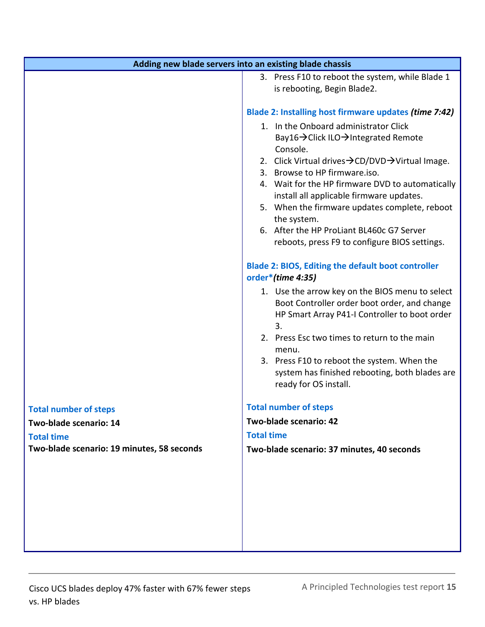| Adding new blade servers into an existing blade chassis                                                                                                                                                                                                                                                                                                                                                                                                                                                 |
|---------------------------------------------------------------------------------------------------------------------------------------------------------------------------------------------------------------------------------------------------------------------------------------------------------------------------------------------------------------------------------------------------------------------------------------------------------------------------------------------------------|
| 3. Press F10 to reboot the system, while Blade 1<br>is rebooting, Begin Blade2.                                                                                                                                                                                                                                                                                                                                                                                                                         |
| Blade 2: Installing host firmware updates (time 7:42)<br>1. In the Onboard administrator Click<br>Bay16 → Click ILO → Integrated Remote<br>Console.<br>2. Click Virtual drives → CD/DVD → Virtual Image.<br>3. Browse to HP firmware.iso.<br>4. Wait for the HP firmware DVD to automatically<br>install all applicable firmware updates.<br>5. When the firmware updates complete, reboot<br>the system.<br>6. After the HP ProLiant BL460c G7 Server<br>reboots, press F9 to configure BIOS settings. |
| <b>Blade 2: BIOS, Editing the default boot controller</b><br>order*(time 4:35)<br>1. Use the arrow key on the BIOS menu to select<br>Boot Controller order boot order, and change<br>HP Smart Array P41-I Controller to boot order<br>3.<br>2. Press Esc two times to return to the main<br>menu.<br>3. Press F10 to reboot the system. When the<br>system has finished rebooting, both blades are<br>ready for OS install.                                                                             |
| <b>Total number of steps</b>                                                                                                                                                                                                                                                                                                                                                                                                                                                                            |
| Two-blade scenario: 42                                                                                                                                                                                                                                                                                                                                                                                                                                                                                  |
| <b>Total time</b>                                                                                                                                                                                                                                                                                                                                                                                                                                                                                       |
| Two-blade scenario: 37 minutes, 40 seconds                                                                                                                                                                                                                                                                                                                                                                                                                                                              |
|                                                                                                                                                                                                                                                                                                                                                                                                                                                                                                         |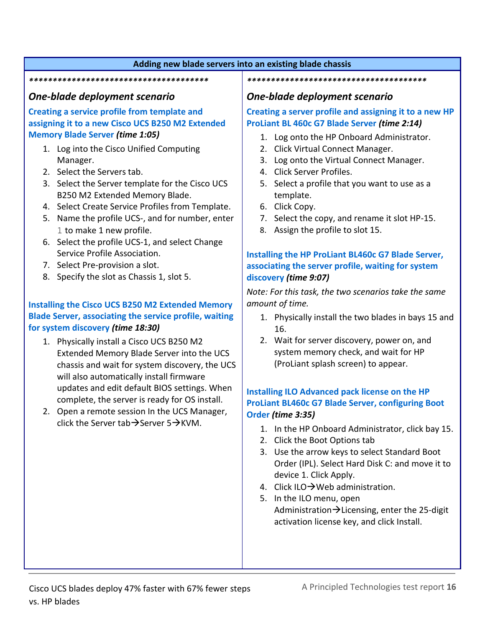#### **Adding new blade servers into an existing blade chassis**

#### *\*\*\*\*\*\*\*\*\*\*\*\*\*\*\*\*\*\*\*\*\*\*\*\*\*\*\*\*\*\*\*\*\*\*\*\*\*\**

#### *One-blade deployment scenario*

**Creating a service profile from template and assigning it to a new Cisco UCS B250 M2 Extended Memory Blade Server** *(time 1:05)*

- 1. Log into the Cisco Unified Computing Manager.
- 2. Select the Servers tab.
- 3. Select the Server template for the Cisco UCS B250 M2 Extended Memory Blade.
- 4. Select Create Service Profiles from Template.
- 5. Name the profile UCS-, and for number, enter 1 to make 1 new profile.
- 6. Select the profile UCS-1, and select Change Service Profile Association.
- 7. Select Pre-provision a slot.
- 8. Specify the slot as Chassis 1, slot 5.

#### **Installing the Cisco UCS B250 M2 Extended Memory Blade Server, associating the service profile, waiting for system discovery** *(time 18:30)*

- 1. Physically install a Cisco UCS B250 M2 Extended Memory Blade Server into the UCS chassis and wait for system discovery, the UCS will also automatically install firmware updates and edit default BIOS settings. When complete, the server is ready for OS install.
- 2. Open a remote session In the UCS Manager, click the Server tab  $\rightarrow$  Server 5 $\rightarrow$ KVM.

#### *One-blade deployment scenario*

*\*\*\*\*\*\*\*\*\*\*\*\*\*\*\*\*\*\*\*\*\*\*\*\*\*\*\*\*\*\*\*\*\*\*\*\*\*\**

#### **Creating a server profile and assigning it to a new HP ProLiant BL 460c G7 Blade Server** *(time 2:14)*

- 1. Log onto the HP Onboard Administrator.
- 2. Click Virtual Connect Manager.
- 3. Log onto the Virtual Connect Manager.
- 4. Click Server Profiles.
- 5. Select a profile that you want to use as a template.
- 6. Click Copy.
- 7. Select the copy, and rename it slot HP-15.
- 8. Assign the profile to slot 15.

#### **Installing the HP ProLiant BL460c G7 Blade Server, associating the server profile, waiting for system discovery** *(time 9:07)*

*Note: For this task, the two scenarios take the same amount of time.*

- 1. Physically install the two blades in bays 15 and 16.
- 2. Wait for server discovery, power on, and system memory check, and wait for HP (ProLiant splash screen) to appear.

#### **Installing ILO Advanced pack license on the HP ProLiant BL460c G7 Blade Server, configuring Boot Order** *(time 3:35)*

- 1. In the HP Onboard Administrator, click bay 15.
- 2. Click the Boot Options tab
- 3. Use the arrow keys to select Standard Boot Order (IPL). Select Hard Disk C: and move it to device 1. Click Apply.
- 4. Click ILO $\rightarrow$ Web administration.
- 5. In the ILO menu, open Administration  $\rightarrow$  Licensing, enter the 25-digit activation license key, and click Install.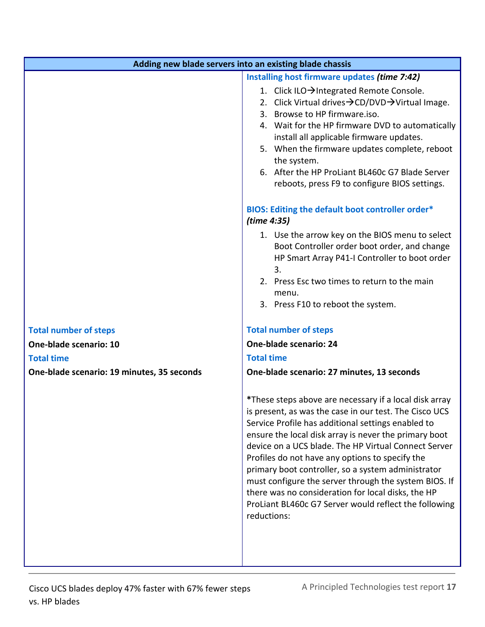| Adding new blade servers into an existing blade chassis |                                                                                                                                                                                                                                                                                                                                                                                                                                                                                                                                                                                         |
|---------------------------------------------------------|-----------------------------------------------------------------------------------------------------------------------------------------------------------------------------------------------------------------------------------------------------------------------------------------------------------------------------------------------------------------------------------------------------------------------------------------------------------------------------------------------------------------------------------------------------------------------------------------|
|                                                         | Installing host firmware updates (time 7:42)                                                                                                                                                                                                                                                                                                                                                                                                                                                                                                                                            |
|                                                         | 1. Click ILO→Integrated Remote Console.<br>2. Click Virtual drives $\rightarrow$ CD/DVD $\rightarrow$ Virtual Image.<br>Browse to HP firmware.iso.<br>3.<br>4. Wait for the HP firmware DVD to automatically<br>install all applicable firmware updates.<br>5. When the firmware updates complete, reboot<br>the system.<br>6. After the HP ProLiant BL460c G7 Blade Server<br>reboots, press F9 to configure BIOS settings.                                                                                                                                                            |
|                                                         | BIOS: Editing the default boot controller order*<br>(time 4:35)<br>1. Use the arrow key on the BIOS menu to select<br>Boot Controller order boot order, and change                                                                                                                                                                                                                                                                                                                                                                                                                      |
|                                                         | HP Smart Array P41-I Controller to boot order<br>3.<br>2. Press Esc two times to return to the main<br>menu.<br>3. Press F10 to reboot the system.                                                                                                                                                                                                                                                                                                                                                                                                                                      |
|                                                         |                                                                                                                                                                                                                                                                                                                                                                                                                                                                                                                                                                                         |
| <b>Total number of steps</b>                            | <b>Total number of steps</b>                                                                                                                                                                                                                                                                                                                                                                                                                                                                                                                                                            |
| One-blade scenario: 10                                  | One-blade scenario: 24                                                                                                                                                                                                                                                                                                                                                                                                                                                                                                                                                                  |
| <b>Total time</b>                                       | <b>Total time</b>                                                                                                                                                                                                                                                                                                                                                                                                                                                                                                                                                                       |
| One-blade scenario: 19 minutes, 35 seconds              | One-blade scenario: 27 minutes, 13 seconds                                                                                                                                                                                                                                                                                                                                                                                                                                                                                                                                              |
|                                                         | *These steps above are necessary if a local disk array<br>is present, as was the case in our test. The Cisco UCS<br>Service Profile has additional settings enabled to<br>ensure the local disk array is never the primary boot<br>device on a UCS blade. The HP Virtual Connect Server<br>Profiles do not have any options to specify the<br>primary boot controller, so a system administrator<br>must configure the server through the system BIOS. If<br>there was no consideration for local disks, the HP<br>ProLiant BL460c G7 Server would reflect the following<br>reductions: |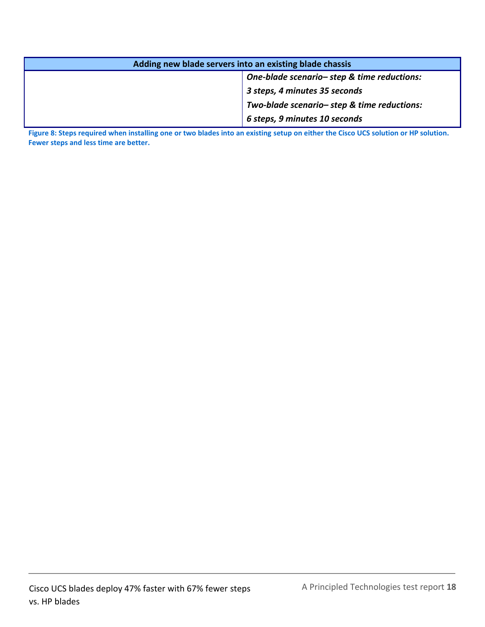| Adding new blade servers into an existing blade chassis |                                            |  |
|---------------------------------------------------------|--------------------------------------------|--|
|                                                         | One-blade scenario-step & time reductions: |  |
|                                                         | 3 steps, 4 minutes 35 seconds              |  |
|                                                         | Two-blade scenario-step & time reductions: |  |
|                                                         | 6 steps, 9 minutes 10 seconds              |  |

**Figure 8: Steps required when installing one or two blades into an existing setup on either the Cisco UCS solution or HP solution. Fewer steps and less time are better.**